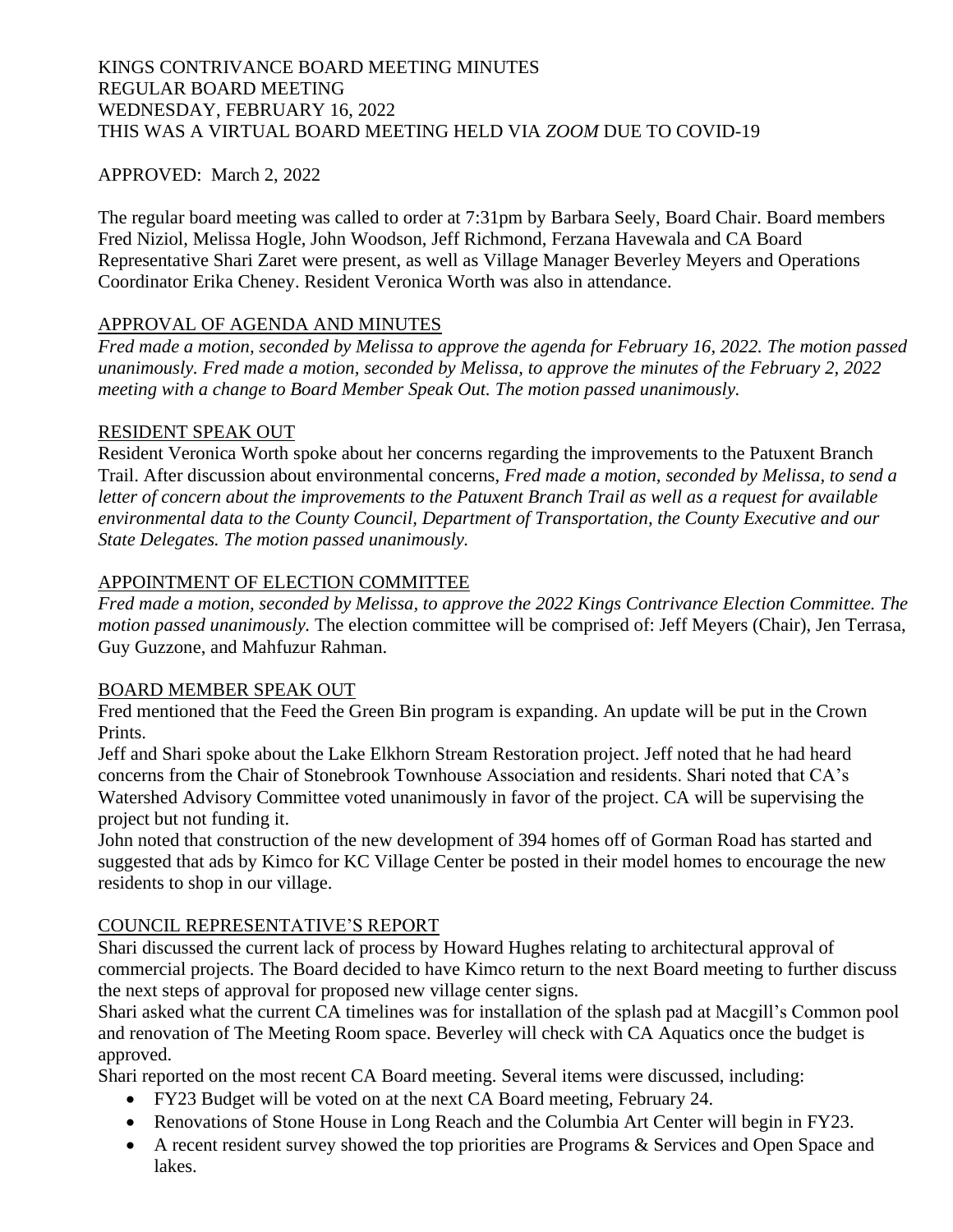### KINGS CONTRIVANCE BOARD MEETING MINUTES REGULAR BOARD MEETING WEDNESDAY, FEBRUARY 16, 2022 THIS WAS A VIRTUAL BOARD MEETING HELD VIA *ZOOM* DUE TO COVID-19

### APPROVED: March 2, 2022

The regular board meeting was called to order at 7:31pm by Barbara Seely, Board Chair. Board members Fred Niziol, Melissa Hogle, John Woodson, Jeff Richmond, Ferzana Havewala and CA Board Representative Shari Zaret were present, as well as Village Manager Beverley Meyers and Operations Coordinator Erika Cheney. Resident Veronica Worth was also in attendance.

## APPROVAL OF AGENDA AND MINUTES

*Fred made a motion, seconded by Melissa to approve the agenda for February 16, 2022. The motion passed unanimously. Fred made a motion, seconded by Melissa, to approve the minutes of the February 2, 2022 meeting with a change to Board Member Speak Out. The motion passed unanimously.*

### RESIDENT SPEAK OUT

Resident Veronica Worth spoke about her concerns regarding the improvements to the Patuxent Branch Trail. After discussion about environmental concerns, *Fred made a motion, seconded by Melissa, to send a letter of concern about the improvements to the Patuxent Branch Trail as well as a request for available environmental data to the County Council, Department of Transportation, the County Executive and our State Delegates. The motion passed unanimously.* 

# APPOINTMENT OF ELECTION COMMITTEE

*Fred made a motion, seconded by Melissa, to approve the 2022 Kings Contrivance Election Committee. The motion passed unanimously.* The election committee will be comprised of: Jeff Meyers (Chair), Jen Terrasa, Guy Guzzone, and Mahfuzur Rahman.

### BOARD MEMBER SPEAK OUT

Fred mentioned that the Feed the Green Bin program is expanding. An update will be put in the Crown Prints.

Jeff and Shari spoke about the Lake Elkhorn Stream Restoration project. Jeff noted that he had heard concerns from the Chair of Stonebrook Townhouse Association and residents. Shari noted that CA's Watershed Advisory Committee voted unanimously in favor of the project. CA will be supervising the project but not funding it.

John noted that construction of the new development of 394 homes off of Gorman Road has started and suggested that ads by Kimco for KC Village Center be posted in their model homes to encourage the new residents to shop in our village.

### COUNCIL REPRESENTATIVE'S REPORT

Shari discussed the current lack of process by Howard Hughes relating to architectural approval of commercial projects. The Board decided to have Kimco return to the next Board meeting to further discuss the next steps of approval for proposed new village center signs.

Shari asked what the current CA timelines was for installation of the splash pad at Macgill's Common pool and renovation of The Meeting Room space. Beverley will check with CA Aquatics once the budget is approved.

Shari reported on the most recent CA Board meeting. Several items were discussed, including:

- FY23 Budget will be voted on at the next CA Board meeting, February 24.
- Renovations of Stone House in Long Reach and the Columbia Art Center will begin in FY23.
- A recent resident survey showed the top priorities are Programs & Services and Open Space and lakes.